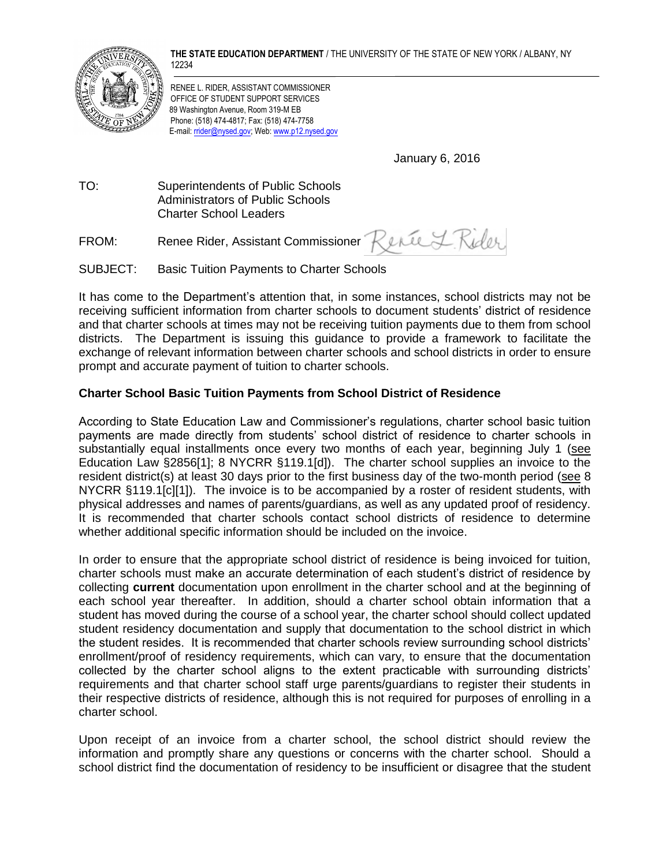**THE STATE EDUCATION DEPARTMENT** / THE UNIVERSITY OF THE STATE OF NEW YORK / ALBANY, NY 12234



RENEE L. RIDER, ASSISTANT COMMISSIONER OFFICE OF STUDENT SUPPORT SERVICES 89 Washington Avenue, Room 319-M EB Phone: (518) 474-4817; Fax: (518) 474-7758 E-mail[: rrider@nysed.gov;](mailto:rrider@mail.nysed.gov) Web[: www.p12.nysed.gov](file:///C:/Users/vmartin/AppData/Local/Microsoft/Windows/Temporary%20Internet%20Files/AppData/Local/Temp/Local%20Settings/Temp/XPgrpwise/www.p12.nysed.gov)

January 6, 2016

TO: Superintendents of Public Schools Administrators of Public Schools Charter School Leaders

FROM: Renee Rider, Assistant Commissioner Renee J. Rider

SUBJECT: Basic Tuition Payments to Charter Schools

It has come to the Department's attention that, in some instances, school districts may not be receiving sufficient information from charter schools to document students' district of residence and that charter schools at times may not be receiving tuition payments due to them from school districts. The Department is issuing this guidance to provide a framework to facilitate the exchange of relevant information between charter schools and school districts in order to ensure prompt and accurate payment of tuition to charter schools.

## **Charter School Basic Tuition Payments from School District of Residence**

According to State Education Law and Commissioner's regulations, charter school basic tuition payments are made directly from students' school district of residence to charter schools in substantially equal installments once every two months of each year, beginning July 1 (see Education Law §2856[1]; 8 NYCRR §119.1[d]). The charter school supplies an invoice to the resident district(s) at least 30 days prior to the first business day of the two-month period (see 8 NYCRR §119.1[c][1]). The invoice is to be accompanied by a roster of resident students, with physical addresses and names of parents/guardians, as well as any updated proof of residency. It is recommended that charter schools contact school districts of residence to determine whether additional specific information should be included on the invoice.

In order to ensure that the appropriate school district of residence is being invoiced for tuition, charter schools must make an accurate determination of each student's district of residence by collecting **current** documentation upon enrollment in the charter school and at the beginning of each school year thereafter. In addition, should a charter school obtain information that a student has moved during the course of a school year, the charter school should collect updated student residency documentation and supply that documentation to the school district in which the student resides. It is recommended that charter schools review surrounding school districts' enrollment/proof of residency requirements, which can vary, to ensure that the documentation collected by the charter school aligns to the extent practicable with surrounding districts' requirements and that charter school staff urge parents/guardians to register their students in their respective districts of residence, although this is not required for purposes of enrolling in a charter school.

Upon receipt of an invoice from a charter school, the school district should review the information and promptly share any questions or concerns with the charter school. Should a school district find the documentation of residency to be insufficient or disagree that the student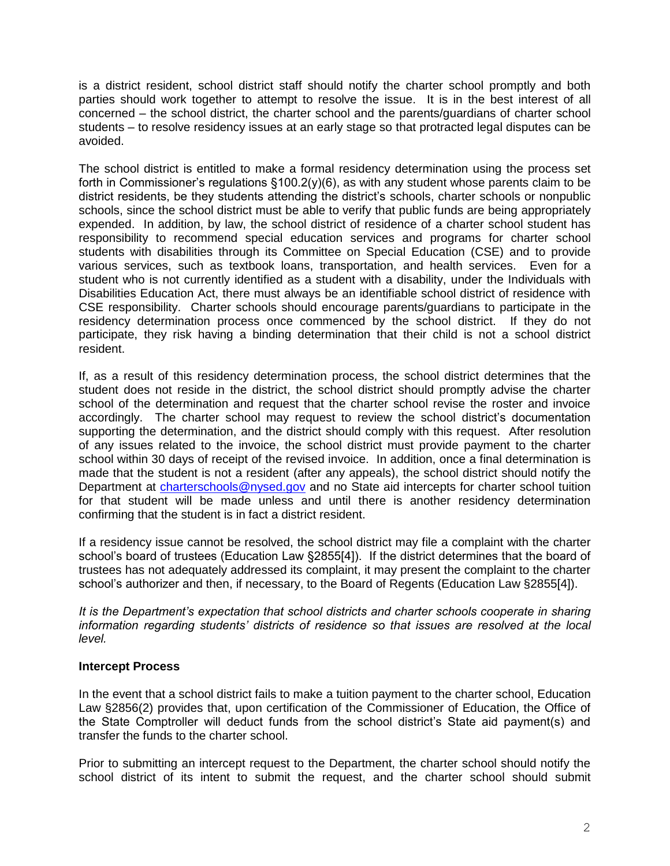is a district resident, school district staff should notify the charter school promptly and both parties should work together to attempt to resolve the issue. It is in the best interest of all concerned – the school district, the charter school and the parents/guardians of charter school students – to resolve residency issues at an early stage so that protracted legal disputes can be avoided.

The school district is entitled to make a formal residency determination using the process set forth in Commissioner's regulations  $\S100.2(y)(6)$ , as with any student whose parents claim to be district residents, be they students attending the district's schools, charter schools or nonpublic schools, since the school district must be able to verify that public funds are being appropriately expended. In addition, by law, the school district of residence of a charter school student has responsibility to recommend special education services and programs for charter school students with disabilities through its Committee on Special Education (CSE) and to provide various services, such as textbook loans, transportation, and health services. Even for a student who is not currently identified as a student with a disability, under the Individuals with Disabilities Education Act, there must always be an identifiable school district of residence with CSE responsibility. Charter schools should encourage parents/guardians to participate in the residency determination process once commenced by the school district. If they do not participate, they risk having a binding determination that their child is not a school district resident.

If, as a result of this residency determination process, the school district determines that the student does not reside in the district, the school district should promptly advise the charter school of the determination and request that the charter school revise the roster and invoice accordingly. The charter school may request to review the school district's documentation supporting the determination, and the district should comply with this request. After resolution of any issues related to the invoice, the school district must provide payment to the charter school within 30 days of receipt of the revised invoice. In addition, once a final determination is made that the student is not a resident (after any appeals), the school district should notify the Department at [charterschools@nysed.gov](mailto:charterschools@nysed.gov) and no State aid intercepts for charter school tuition for that student will be made unless and until there is another residency determination confirming that the student is in fact a district resident.

If a residency issue cannot be resolved, the school district may file a complaint with the charter school's board of trustees (Education Law §2855[4]). If the district determines that the board of trustees has not adequately addressed its complaint, it may present the complaint to the charter school's authorizer and then, if necessary, to the Board of Regents (Education Law §2855[4]).

*It is the Department's expectation that school districts and charter schools cooperate in sharing information regarding students' districts of residence so that issues are resolved at the local level.*

## **Intercept Process**

In the event that a school district fails to make a tuition payment to the charter school, Education Law §2856(2) provides that, upon certification of the Commissioner of Education, the Office of the State Comptroller will deduct funds from the school district's State aid payment(s) and transfer the funds to the charter school.

Prior to submitting an intercept request to the Department, the charter school should notify the school district of its intent to submit the request, and the charter school should submit